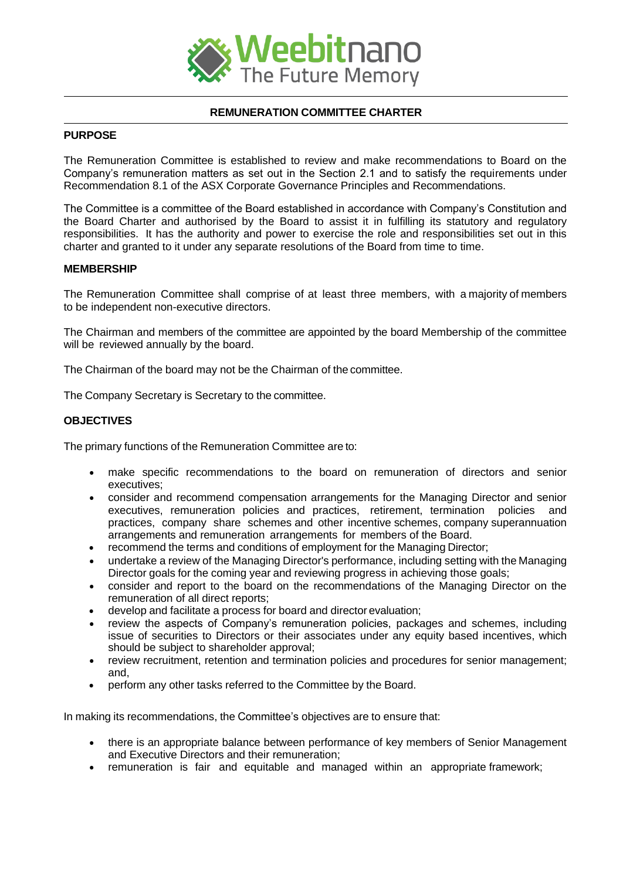

# **REMUNERATION COMMITTEE CHARTER**

#### **PURPOSE**

The Remuneration Committee is established to review and make recommendations to Board on the Company's remuneration matters as set out in the Section 2.1 and to satisfy the requirements under Recommendation 8.1 of the ASX Corporate Governance Principles and Recommendations.

The Committee is a committee of the Board established in accordance with Company's Constitution and the Board Charter and authorised by the Board to assist it in fulfilling its statutory and regulatory responsibilities. It has the authority and power to exercise the role and responsibilities set out in this charter and granted to it under any separate resolutions of the Board from time to time.

# **MEMBERSHIP**

The Remuneration Committee shall comprise of at least three members, with a majority of members to be independent non-executive directors.

The Chairman and members of the committee are appointed by the board Membership of the committee will be reviewed annually by the board.

The Chairman of the board may not be the Chairman of the committee.

The Company Secretary is Secretary to the committee.

# **OBJECTIVES**

The primary functions of the Remuneration Committee are to:

- make specific recommendations to the board on remuneration of directors and senior executives;
- consider and recommend compensation arrangements for the Managing Director and senior executives, remuneration policies and practices, retirement, termination policies and practices, company share schemes and other incentive schemes, company superannuation arrangements and remuneration arrangements for members of the Board.
- recommend the terms and conditions of employment for the Managing Director;
- undertake a review of the Managing Director's performance, including setting with the Managing Director goals for the coming year and reviewing progress in achieving those goals;
- consider and report to the board on the recommendations of the Managing Director on the remuneration of all direct reports;
- develop and facilitate a process for board and director evaluation;
- review the aspects of Company's remuneration policies, packages and schemes, including issue of securities to Directors or their associates under any equity based incentives, which should be subject to shareholder approval;
- review recruitment, retention and termination policies and procedures for senior management; and,
- perform any other tasks referred to the Committee by the Board.

In making its recommendations, the Committee's objectives are to ensure that:

- there is an appropriate balance between performance of key members of Senior Management and Executive Directors and their remuneration;
- remuneration is fair and equitable and managed within an appropriate framework;